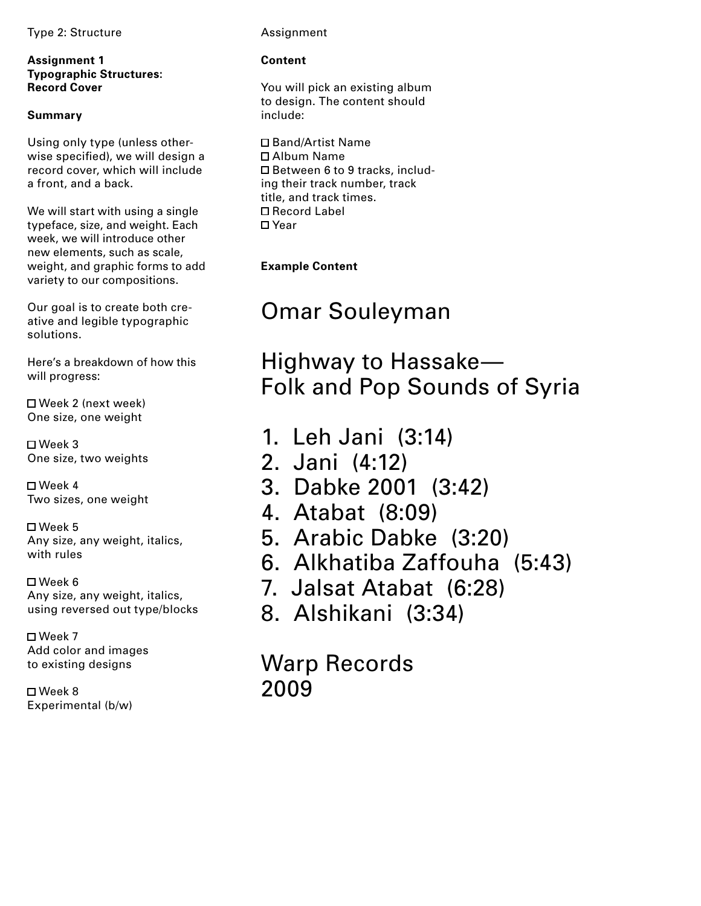Type 2: Structure **Assignment** 

**Assignment 1 Typographic Structures: Record Cover**

# **Summary**

Using only type (unless otherwise specified), we will design a record cover, which will include a front, and a back.

We will start with using a single typeface, size, and weight. Each week, we will introduce other new elements, such as scale, weight, and graphic forms to add variety to our compositions.

Our goal is to create both creative and legible typographic solutions.

Here's a breakdown of how this will progress:

 Week 2 (next week) One size, one weight

 Week 3 One size, two weights

 Week 4 Two sizes, one weight

 Week 5 Any size, any weight, italics, with rules

 Week 6 Any size, any weight, italics, using reversed out type/blocks

 $\square$  Week 7 Add color and images to existing designs

 Week 8 Experimental (b/w)

# **Content**

You will pick an existing album to design. The content should include:

 Band/Artist Name Album Name □ Between 6 to 9 tracks, including their track number, track title, and track times. Record Label □ Year

**Example Content**

# Omar Souleyman

Highway to Hassake— Folk and Pop Sounds of Syria

- 1. Leh Jani (3:14)
- 2. Jani (4:12)
- 3. Dabke 2001 (3:42)
- 4. Atabat (8:09)
- 5. Arabic Dabke (3:20)
- 6. Alkhatiba Zaffouha (5:43)
- 7. Jalsat Atabat (6:28)
- 8. Alshikani (3:34)

Warp Records 2009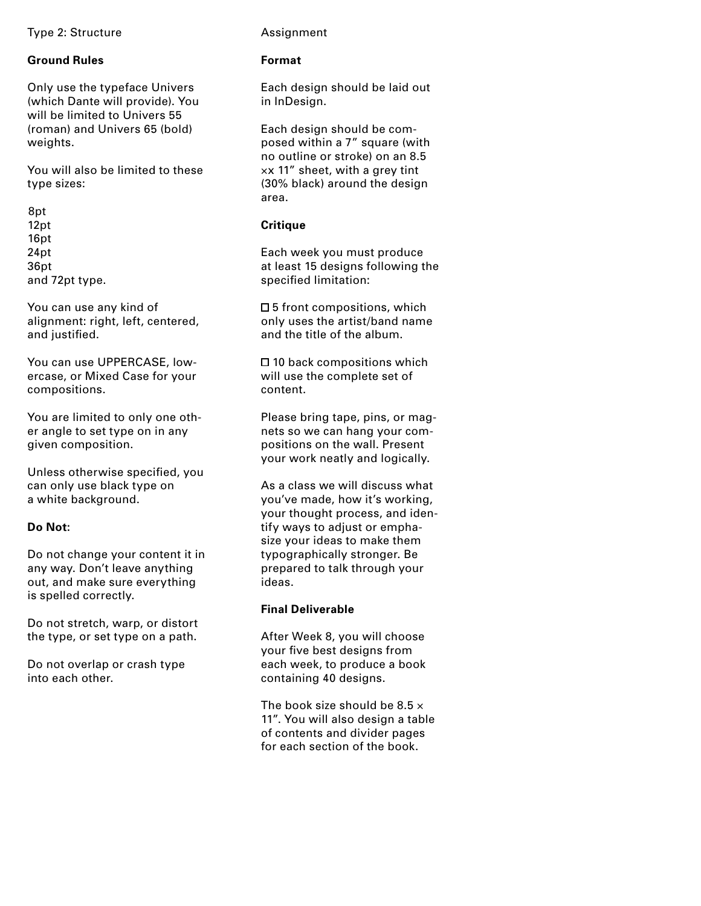#### Type 2: Structure **Assignment**

# **Ground Rules**

Only use the typeface Univers (which Dante will provide). You will be limited to Univers 55 (roman) and Univers 65 (bold) weights.

You will also be limited to these type sizes:

8pt 12pt 16pt 24pt 36pt and 72pt type.

You can use any kind of alignment: right, left, centered, and justified.

You can use UPPERCASE, lowercase, or Mixed Case for your compositions.

You are limited to only one other angle to set type on in any given composition.

Unless otherwise specified, you can only use black type on a white background.

# **Do Not:**

Do not change your content it in any way. Don't leave anything out, and make sure everything is spelled correctly.

Do not stretch, warp, or distort the type, or set type on a path.

Do not overlap or crash type into each other.

#### **Format**

Each design should be laid out in InDesign.

Each design should be composed within a 7" square (with no outline or stroke) on an 8.5 ×x 11" sheet, with a grey tint (30% black) around the design area.

## **Critique**

Each week you must produce at least 15 designs following the specified limitation:

 $\square$  5 front compositions, which only uses the artist/band name and the title of the album.

 $\square$  10 back compositions which will use the complete set of content.

Please bring tape, pins, or magnets so we can hang your compositions on the wall. Present your work neatly and logically.

As a class we will discuss what you've made, how it's working, your thought process, and identify ways to adjust or emphasize your ideas to make them typographically stronger. Be prepared to talk through your ideas.

# **Final Deliverable**

After Week 8, you will choose your five best designs from each week, to produce a book containing 40 designs.

The book size should be  $8.5 \times$ 11". You will also design a table of contents and divider pages for each section of the book.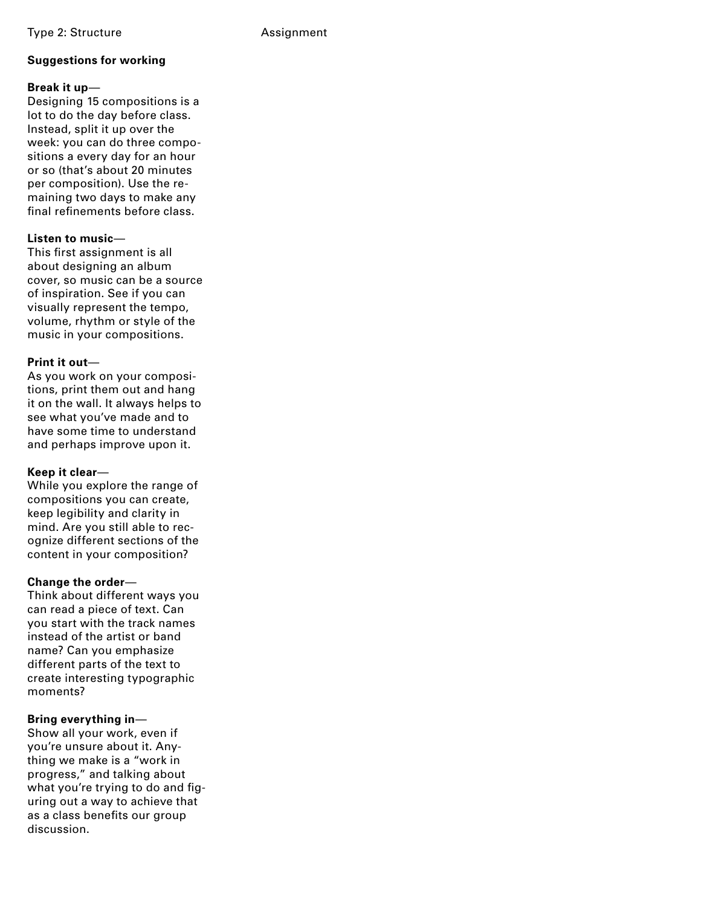# **Suggestions for working**

# **Break it up**—

Designing 15 compositions is a lot to do the day before class. Instead, split it up over the week: you can do three compositions a every day for an hour or so (that's about 20 minutes per composition). Use the remaining two days to make any final refinements before class.

### **Listen to music**—

This first assignment is all about designing an album cover, so music can be a source of inspiration. See if you can visually represent the tempo, volume, rhythm or style of the music in your compositions.

# **Print it out**—

As you work on your compositions, print them out and hang it on the wall. It always helps to see what you've made and to have some time to understand and perhaps improve upon it.

# **Keep it clear**—

While you explore the range of compositions you can create, keep legibility and clarity in mind. Are you still able to recognize different sections of the content in your composition?

# **Change the order**—

Think about different ways you can read a piece of text. Can you start with the track names instead of the artist or band name? Can you emphasize different parts of the text to create interesting typographic moments?

# **Bring everything in**—

Show all your work, even if you're unsure about it. Anything we make is a "work in progress," and talking about what you're trying to do and figuring out a way to achieve that as a class benefits our group discussion.